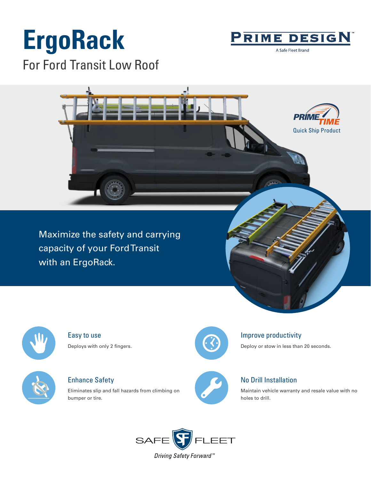# **ErgoRack**

For Ford Transit Low Roof



A Safe Fleet Brand



Maximize the safety and carrying capacity of your Ford Transit with an ErgoRack.



Easy to use Deploys with only 2 fingers.



Enhance Safety

Eliminates slip and fall hazards from climbing on bumper or tire.



## Improve productivity

Deploy or stow in less than 20 seconds.



## No Drill Installation

Maintain vehicle warranty and resale value with no holes to drill.